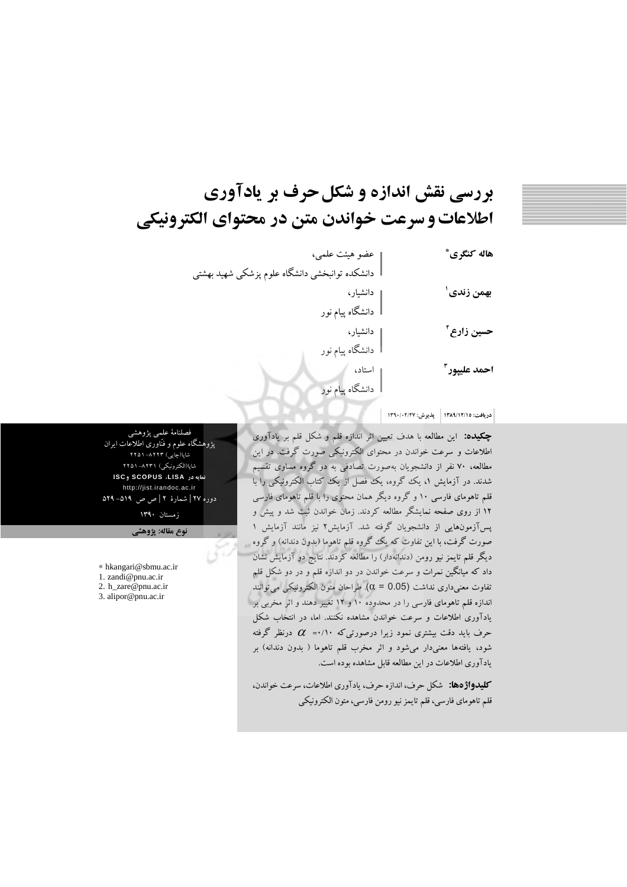# بررسی نقش اندازه و شکل حرف بر یادآوری اطلاعات و سرعت خواندن متن در محتواي الكترونيكي

| هاله كنگرى*              | عضو هیئت علمی،                                 |
|--------------------------|------------------------------------------------|
|                          | دانشکده توانبخشی دانشگاه علوم پزشکی شهید بهشتی |
| بهمن زندى                | دانشیار،                                       |
|                          | دانشگاه پیام نور                               |
| حسين زارع آ              | دانشیار،                                       |
|                          | دانشگاه پیام نور                               |
| احمد عليپور <sup>۳</sup> | استاد،                                         |
|                          | دانشگاه پیام نور                               |
|                          |                                                |

دريافت: ١٣٨٩/١٢/١٥ - يذيوش: ١٣٩٠/٠٢/٢٧ -

چکیده: این مطالعه با هدف تعیین اثر اندازه قلم و شکل قلم بر یادآوری اطلاعات و سرعت خواندن در محتوای الکترونیکی صورت گرفت. در این مطالعه، ۷۰ نفر از دانشجویان بهصورت تصادفی به دو گروه مساوی تقسیم شدند. در آزمایش ۱، یک گروه، یک فصل از یک کتاب الکترونیکی را با قلم تاهومای فارسی ۱۰ و گروه دیگر همان محتوی را با قلم تاهومای فارسی ۱۲ از روی صفحه نمایشگر مطالعه کردند. زمان خواندن ثبت شد و پیش و یسآزمونهایی از دانشجویان گرفته شد. آزمایش۲ نیز مانند آزمایش ۱ صورت گرفت، با این تفاوت که یک گروه قلم تاهوما (بدون دندانه) و گروه دیگر قلم تایمز نیو رومن (دندانهدار) را مطالعه کردند. نتایج دو آزمایش نشان داد که میانگین نمرات و سرعت خواندن در دو اندازه قلم و در دو شکل قلم تفاوت معنى دارى نداشت (0.05 = 0). طراحان متون الكترونيكي مي توانند اندازه قلم تاهومای فارسی را در محدوده ۱۰ و ۱۲ تغییر دهند و اثر مخربی بر بادآوری اطلاعات و سرعت خواندن مشاهده نکنند. اما، در انتخاب شکل حرف باید دقت بیشتری نمود زیرا درصورتیکه ۰/۱۰=  $\alpha$  درنظر گرفته شود، یافتهها معنیدار میشود و اثر مخرب قلم تاهوما ( بدون دندانه) بر یادآوری اطلاعات در این مطالعه قابل مشاهده بوده است.

كليدواژهها: شكل حرف، اندازه حرف، يادآوري اطلاعات، سرعت خواندن، قلم تاهوماي فارسي، قلم تايمز نيو رومن فارسي، متون الكترونيكي

فصلنامهٔ علمی پژوهشم پژوهشگاه علوم و فنّاوری اطلاعات ایران شاپا(چاپی) ۸۲۲۳–۱۵۱ شاپا(الکترونیکی) ۸۲۳۱–۲۲۵۱ نمایه در SCOPUS ،LISA و ISC http://jist.irandoc.ac.ir دوره ۲۷ | شمارهٔ ۲ | ص ص ۵۱۹– ۵۲۹

> ; مستان ۱۳۹۰ نوع مقاله: پژوهشی

\* hkangari@sbmu.ac.ir

1. zandi@pnu.ac.ir 2. h\_zare@pnu.ac.ir

3. alipor@pnu.ac.ir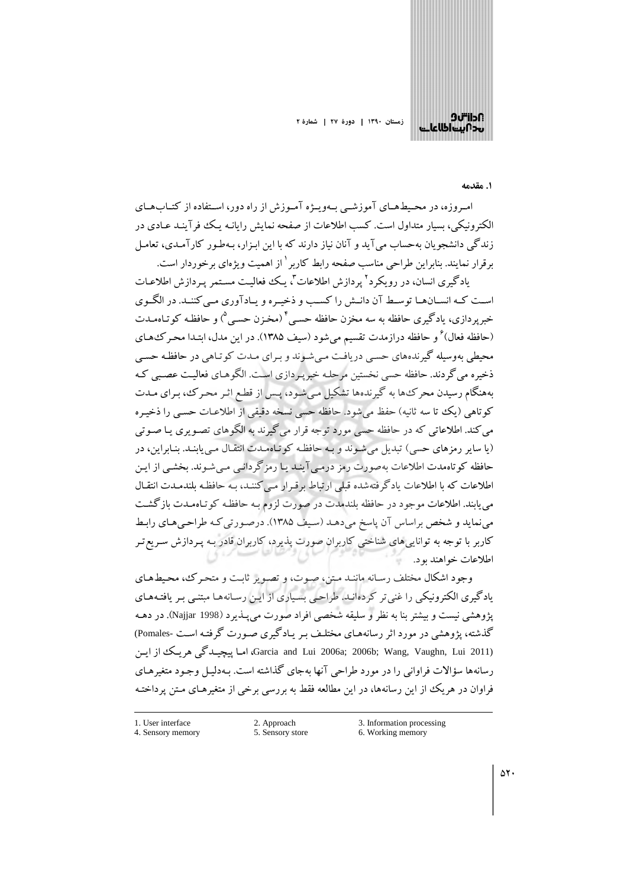

#### ۱. مقدمه

امه وزه، در محیطههای آموزشبی بهوییژه آموزش از راه دور، استفاده از کتبابههای الکترونیکی، بسار متداول است. کسب اطلاعات از صفحه نمایش رایانیه یک فرآینید عیادی در زندگی دانشجویان بهحساب می آید و آنان نیاز دارند که با این ابـزار، بـهطـور کارآمـدی، تعامـل بر قرار نمایند. بنابراین طراحی مناسب صفحه رابط کاربر<sup>۱</sup> از اهمیت و بژهای بر خوردار است.

بادگیری انسان، در رویکرد<sup>۲</sup> بردازش اطلاعات<sup>۳</sup>، یک فعالیت مستمر پردازش اطلاعیات است کـه انســانهــا توســط آن دانــش را کســب و ذخيــره و پــادآوري مــي کننــد. در الگــوي خبر پردازی، بادگیری حافظه به سه مخزن حافظه حسے ٔ (مخزن حسے <sup>۵</sup>) و حافظـه کو تـاهمـدت (حافظه فعال) ْ و حافظه درازمدت تقسیم میشود (سیف ۱۳۸۵). در این مدل، ابتـدا محـرکـُهـای محیطی بهوسیله گیرندههای حسبی دریافت میشوند و بـرای مـدت کوتـاهی در حافظـه حسـی ذخیره می گردند. حافظه حسی نخستین مرحلـه خبر پـردازی اسـت. الگوهـای فعالیـت عصـبی کـه بههنگام رسیدن محرک ها به گیرندهها تشکیل می شـود، پـس از قطـع اثـر محـرک، بـرای مـدت كوتاهي (يك تا سه ثانيه) حفظ مي شود. حافظه حسى نسخه دقيقي از اطلاعـات حسـي را ذخيـره می کند. اطلاعاتی که در حافظه حسی مورد توجه قرار می گیرند به الگوهای تصـویری یـا صـوتی (یا سایر رمزهای حسی) تبدیل می شوند و به حافظه کو تاهمدت انتقال می پابند. بنابراین، در حافظه کو تاهمدت اطلاعات بهصورت رمز درمے آینید یا رمز گردانبی مبی شـوند. بخشـی از ایـن اطلاعات که با اطلاعات یادگرفتهشده قبلی ارتباط برقـرار مـی کننـد، بـه حافظـه بلندمـدت انتقـال می پابند. اطلاعات موجود در حافظه بلندمدت در صورت لزوم بـه حافظـه کوتـاهمـدت بازگشـت می نماید و شخص براساس آن یاسخ می دهـد (سـیف ۱۳۸۵). درصـورتی کـه طراحـی هـای رابـط کاربر با توجه به تواناییهای شناختی کاربران صورت پذیرد، کاربران قادر بـه پـردازش سـریع تـر اطلاعات خواهند بود.

وجود اشکال مختلف رسانه مانند متن، صوت، و تصویر ثابت و متحرک، محیطهای یادگیری الکترونیکی را غنی تر کردهانید. طراحبی بسیاری از این رسانهها مبتنبی بیر یافتیههای يژوهشي نيست و بيشتر بنا به نظر و سليقه شخصي افراد صورت مي پــذـيرد (Najjar 1998). در دهــه گذشته، یژوهشی در مورد اثر رسانههـای مختلـف بـر پـادگیری صـورت گرفتـه اسـت -Pomales) (Garcia and Lui 2006a; 2006b; Wang, Vaughn, Lui 2011)، امبا بیچیندگی هر بیک از این رسانهها سؤالات فراوانی را در مورد طراحی آنها بهجای گذاشته است. بـهدلیـل وجـود متغیرهـای فراوان در هریک از این رسانهها، در این مطالعه فقط به بررسی برخی از متغیرهـای مـتن پرداختـه

1 User interface 4. Sensory memory

<sup>2.</sup> Approach 5. Sensory store

<sup>3.</sup> Information processing

<sup>6.</sup> Working memory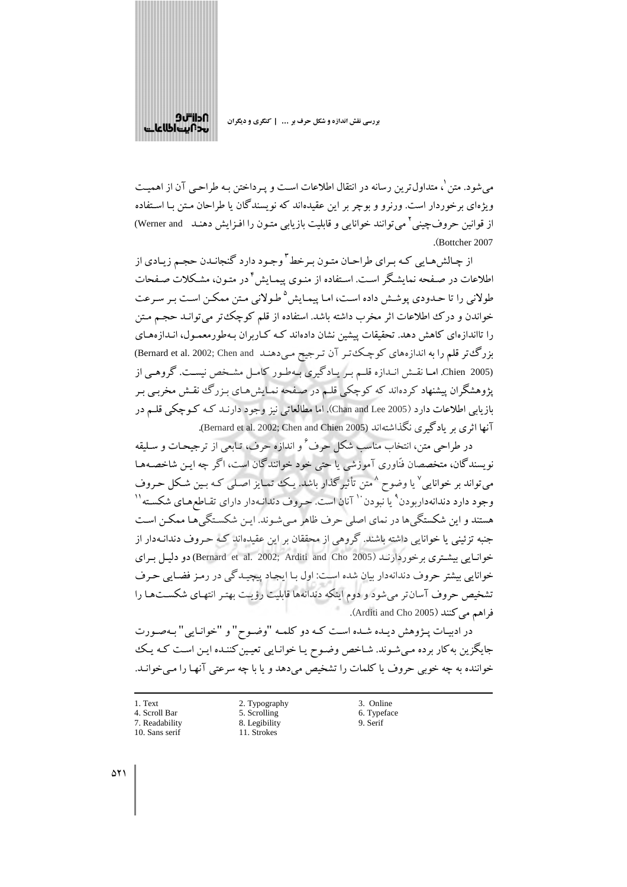

می شود. متن <sup>۱</sup>، متداول ترین رسانه در انتقال اطلاعات است و پـرداختن بـه طراحـی آن از اهمیــت ویژهای برخوردار است. ورنرو و بوچر بر این عقیدهاند که نویسندگان یا طراحان مـتن بـا اسـتفاده از قوانین حروف چینی آ می توانند خوانایی و قابلیت بازیابی متـون را افـزایش دهنـد \_ Werner and) .(Bottcher 2007

از چالش هبایی کبه سرای طراحیان متبون سرخط <sup>۳</sup> وجبود دارد گنجانیدن حجبه زیبادی از اطلاعات در صـفحه نمایشـگر اسـت. اسـتفاده از منـوی پیمـایش<sup>؟</sup> در متـون، مشـکلات صـفحات طولانی را تا جیدودی پوشش داده است، امیا پیمایش<sup>۵</sup> طبولانی متن ممکن است بیر سرعت خواندن و درک اطلاعات اثر مخرب داشته باشد. استفاده از قلم کوچک تر می توانـد حجـم مـتن را تااندازهای کاهش دهد. تحقیقات پیشین نشان دادهاند کـه کــاربران بـهطورمعمـول، انـدازههـای بزرگت تر قلم را به اندازههای کوچکت ر آن ترجیح می دهند Bernard et al. 2002; Chen and) (Chien 2005. اما نقش اندازه قلم بريادگيري بهطور كامل مشخص نيست. گروهي از یژوهشگران پیشنهاد کردهاند که کوچکی قلـم در صـفحه نمـایش۵مـای بـزرگ نقـش مخربـی بـر بازیابی اطلاعات دارد (Chan and Lee 2005). اما مطالعاتی نیز وجود دارنـد کـه کـوچکی قلـم در آنها اثري مر يادگيري نگذاشتهاند (Bernard et al. 2002; Chen and Chien 2005).

در طراحی متن، انتخاب مناسب شکل حرف<sup>ع و</sup> اندازه حرف، تبایعی از ترجیحیات و سیلیقه نویسندگان، متخصصان فنّاوری آموزشی یا حتی خود خوانندگان است، اگر چه ایـن شاخصـههـا می تواند بر خوانایی ٌ یا وضوح ٌ متن تأثیر گذار باشد. یک تمایز اصلی کـه بـین شـکل حـروف وجود دارد دندانهداریودن ْ یا نبودن `` آنان است. حروف دندانـهدار دارای تقـاطعهـای شکسـته `` هستند و این شکستگی ها در نمای اصلی حرف ظاهر مے شوند. این شکستگی هـا ممکـن اسـت جنبه تزئینی یا خوانایی داشته باشند. گروهی از محققان بر این عقیدهاند کـه حـروف دندانـهدار از خوانیایی بیشتری پر خوردارنید (Bernard et al. 2002; Arditi and Cho 2005) دو دلیل سرای خوانایی بیشتر حروف دندانهدار بیان شده است: اول بـا ایجـاد پیچیـدگی در رمـز فضـایی حـرف تشخیص حروف آسان تر می شود و دوم اینکه دندانهها قابلیت رؤیت بهتـر انتهـای شکســتهـا را فراهم مي كنند (Arditi and Cho 2005).

در ادبيـات پـژوهش ديـده شـده اسـت كـه دو كلمـه "وضـوح" و "خوانـايي" بـهصـورت جایگزین به کار برده می شوند. شـاخص وضـوح یـا خوانـایی تعیـین کننـده ایـن اسـت کـه یـک خواننده به چه خوبي حروف يا كلمات را تشخيص مي دهد و يا با چه سرعتي آنهـا را مـي خوانـد.

- 1. Text
- 4. Scroll Bar
- 7 Readability
- 10. Sans serif
	-
- 

2. Typography 5. Scrolling

8. Legibility

11. Strokes

- 3. Online 6. Typeface 9 Serif
-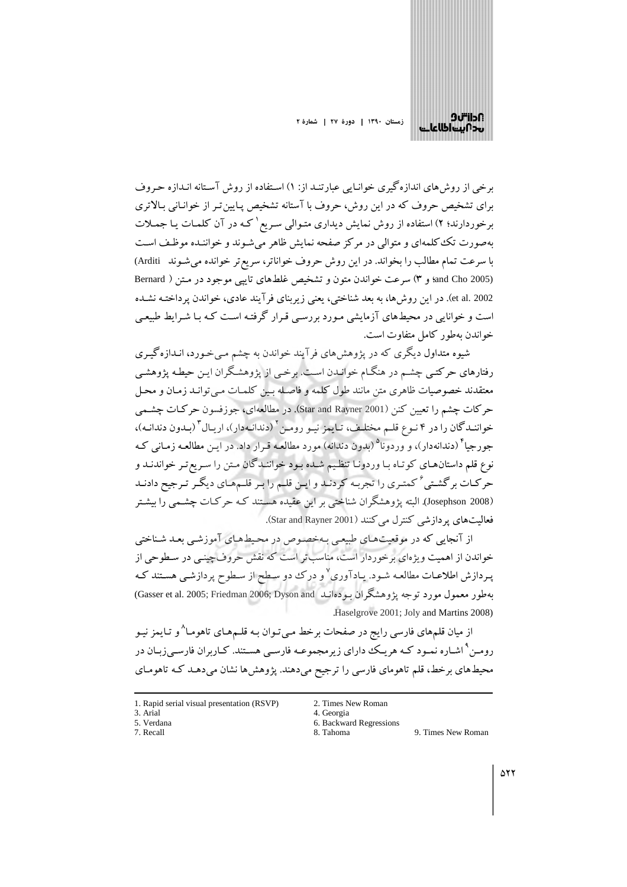

برخی از روشهای اندازهگیری خوانـایی عبارتنـد از: ۱) اسـتفاده از روش آسـتانه انـدازه حـروف برای تشخیص حروف که در این روش، حروف با آستانه تشخیص پـایین تـر از خوانـانی بـالاتری برخوردارند؛ ۲) استفاده از روش نمایش دیداری متـوالی سـریع <sup>۱</sup> کـه در آن کلمـات یـا جمـلات بهصورت تک کلمهای و متوالی در مرکز صفحه نمایش ظاهر میشوند و خواننـده موظـف اسـت با سرعت تمام مطالب را بخواند. در این روش حروف خواناتر، سریع تر خوانده می شـوند Arditi) (and Cho 2005؛ و ٣) سرعت خواندن متون و تشخيص غلطهاي تايبي موجود در متن ( Bernard et al. 2002). در این روش ها، به بعد شناختی، یعنی زیربنای فرآیند عادی، خواندن پرداختـه نشـده است و خوانایی در محیطهای آزمایشی مـورد بررسـی قـرار گرفتـه اسـت کـه بـا شـرایط طبیعـی خواندن به طور كامل متفاوت است.

شبوه متداول دیگری که در یژوهش های فر آیند خواندن به چشم مبی خبورد، انـدازه گیـری رفتارهای حرکتبی چشم در هنگـام خوانـدن اسـت. برخـی از پژوهشـگران ايـن حيطـه پژوهشـي معتقدند خصوصیات ظاهری متن مانند طول کلمه و فاصله سن کلمیات مے توانید زمیان و محیل حرکات چشم را تعیین کنن (Star and Rayner 2001). در مطالعهای، جوزفسون حرکات چشمی خوانندگان را در ۴ نـوع قلـم مختلـف، تـايمز نيـو رومـن آ (دندانـهدار)، اريـال آ (بـدون دندانـه)، جو رجبا<sup>۴</sup> (دندانهدار)، و وردونا<sup>۵</sup> (بدون دندانه) مورد مطالعـه قـرار داد. در ايـن مطالعـه زمـاني كـه نوع قلم داستانهای کوتـاه بـا وردونـا تنظـیم شـده بـود خواننـدگان مـتن را سـریع تـر خواندنـد و حرکات برگشتی ٔ کمتری را تجربه کردنـد و ایـن قلـم را بـر قلـمهـای دیگـر تـرجیح دادنـد (Josephson 2008). البته یژوهشگران شناختی بر این عقیده هستند کـه حرکـات چشـمـی را بیشـتر فعالیت های بر داز شب کنتر ل می کنند (Star and Rayner 2001).

از آنجایی که در موقعیتهای طبیعی بهخصوص در محیطهای آموزشی بعد شناختی خواندن از اهمیت ویژهای برخوردار است، مناسبتر است که نقش حروف چینبی در سطوحی از پـردازش اطلاعـات مطالعـه شـود. يـادآوري<sup>۷</sup>و درک دو سـطح از سـطوح پردازشـي هسـتند کـه ىەطور معمول مورد توجه يژوهشگران بودەانىد Gasser et al. 2005; Friedman 2006; Dyson and) Haselgrove 2001; Joly and Martins 2008)

از میان قلمهای فارسی رایج در صفحات برخط مـیتوان بـه قلـمهـای تاهومـا^و تـایمز نیـو رومـن ْ اشـاره نمـود كـه هريـك داراي زيرمجموعـه فارسـي هسـتند. كـاربران فارسـي;ربـان در محیطهای برخط، قلم تاهومای فارسی را ترجیح میدهند. پژوهشها نشان میدهـد کـه تاهومـای

- 1. Rapid serial visual presentation (RSVP)
- 3. Arial
- 5. Verdana
- 7. Recall
- 2. Times New Roman
- 4. Georgia
- 6. Backward Regressions
- 8. Tahoma 9. Times New Roman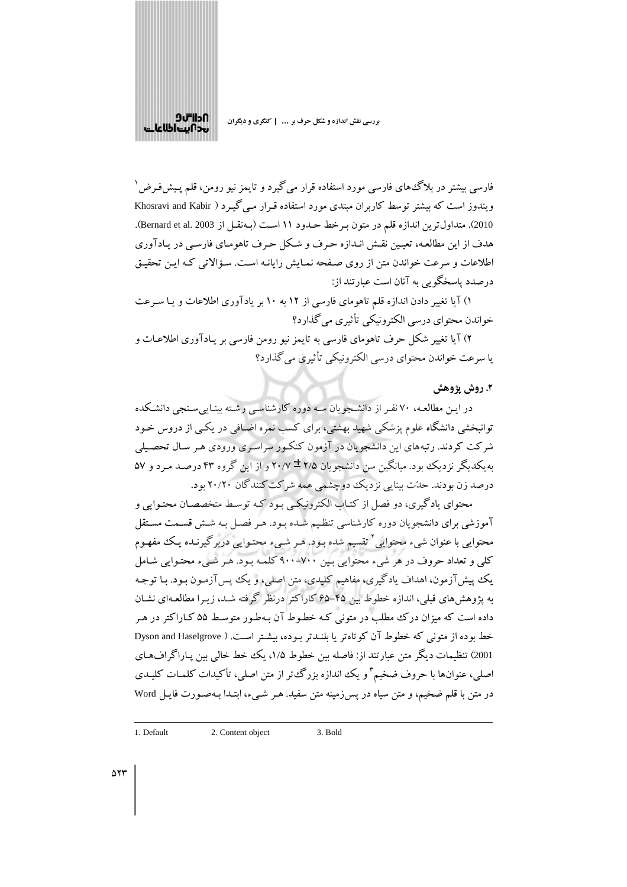

.<br>فارسی بیشتر در بلاگ های فارسی مورد استفاده قرار میگیرد و تایمز نیو رومن، قلم پـیشفرض <sup>۱</sup> ویندوز است که بیشتر توسط کاربران مبتدی مورد استفاده قـرار مـی گیـرد ( Khosravi and Kabir 2010). متداول ترين اندازه قلم در متون بـرخط حـدود ١١ اسـت (بـهنقـل از Bernard et al. 2003). هدف از این مطالعه، تعیین نقش انـدازه حـرف و شـکل حـرف تاهومـای فارسـی در پـادآوری اطلاعات و سرعت خواندن متن از روی صفحه نمیایش رایانیه است. سؤالاتی کیه این تحقیق درصدد پاسخگویی به آنان است عبارتند از:

۱) آیا تغییر دادن اندازه قلم تاهومای فارسی از ۱۲ به ۱۰ بر یادآوری اطلاعات و یـا سـرعت خواندن محتواي درسي الکترونيکي تأثيري مي گذار د؟

۲) آیا تغییر شکل حرف تاهومای فارسی به تایمز نیو رومن فارسی بر پـادآوری اطلاعـات و يا سرعت خواندن محتواي درسي الكترونيكي تأثيري مي گذارد؟

### ٢. روش يژوهش

در ایـن مطالعـه، ۷۰ نفـر از دانشـجویان سـه دوره کارشناسـی رشـته بینـاییسـنجی دانشـکده توانبخشی دانشگاه علوم پزشکی شهید بهشتی، برای کسب نمره اضافی در یکبی از دروس خـود شرکت کردند. رتبههای این دانشجویان در آزمون کنکور سراسری ورودی هـر سـال تحصـیلی به یکدیگر نزدیک بود. میانگین سن دانشجویان ۲/۵ ± ۲۰/۷ و از این گروه ۴۳ درصـد مـرد و ۵۷ درصد زن بودند. حدّت بینایی نزدیک دوچشمی همه شرکت کنندگان ۲۰/۲۰ بود.

محتواي يادگيري، دو فصل از كتـاب الكترونيكـي بـود كـه توسـط متخصصـان محتـوايي و آموزشی برای دانشجویان دوره کارشناسی تنظیم شـده بـود. هـر فصـل بـه شـش قسـمت مسـتقل محتوایی با عنوان شیء محتوایی<sup>۲</sup> تقسیم شده بـود. هـر شــیء محتـوایی دربرگیرنـده یـک مفهـوم کلی و تعداد حروف در هر شيء محتوايي بين ٧٠٠-٩٠٠ کلمه بـود. هـر شـيء محتـوايي شـامل يک پيشآزمون، اهداف يادگيري، مفاهيم کليدي، متن اصلي، و يک پيسآزمـون بـود. بـا توجـه به یژوهش های قبلی، اندازه خطوط بین ۴۵–۶۵ کاراکتر درنظر گرفته شـد، زیـرا مطالعـهای نشـان داده است که میزان درک مطلب در متونی کـه خطـوط آن بـهطـور متوسـط ۵۵ کـاراکتر در هـر خط بوده از متونی که خطوط آن کوتاهتر یا بلنـدتر بـوده، بیشـتر اسـت. ( Dyson and Haselgrove 2001) تنظیمات دیگر متن عبارتند از: فاصله بین خطوط ۱/۵، یک خط خالبی بین پـاراگراف۱عـای اصلی، عنوانها با حروف ضخیم ؓ و یک اندازه بزرگءتر از متن اصلی، تأکیدات کلمات کلیـدی در متن با قلم ضخیم، و متن سیاه در پس زمینه متن سفید. هـر شـيء، ابتـدا بـهصـورت فایـل Word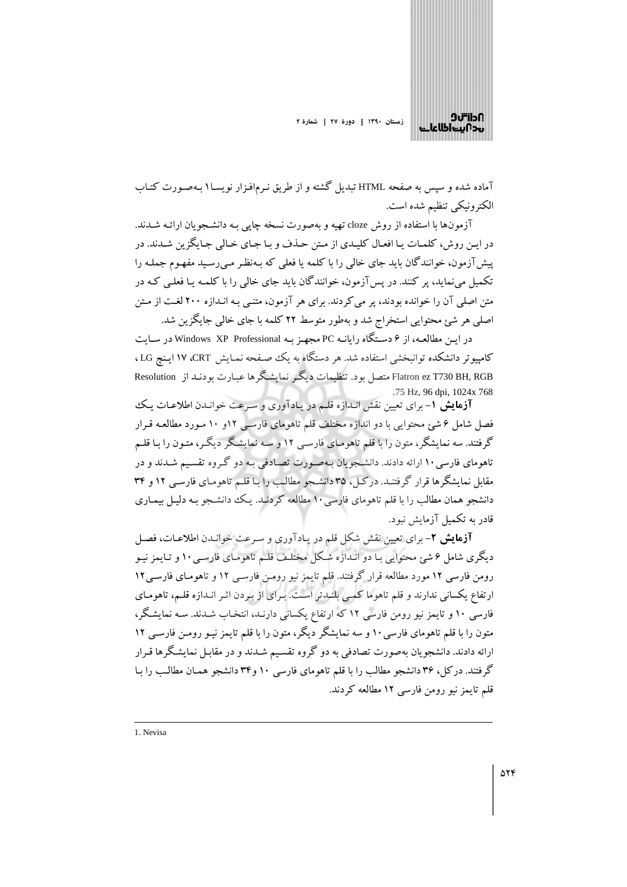

آماده شده و سیس به صفحه HTML تبدیل گشته و از طریق نـرمافـزار نویسـا۱بـهصـورت کتـاب الكترونيكي تنظيم شده است.

آزمونها با استفاده از روش cloze تهیه و بهصورت نسخه چاپی بـه دانشـجو بان ارائـه شــدند. در این روش، کلمـات یـا افعـال کلیـدي از مـتن حـذف و بـا جـاي خـالي جـايگزين شـدند. در پیش آزمون، خوانندگان باید جای خالبی را با کلمه یا فعلبی که بـهنظـر مـی رسـید مفهـوم جملـه را تکمیل می نماید، پر کنند. در پس آزمون، خوانندگان باید جای خالبی را با کلمـه یـا فعلـی کـه در متن اصلی آن را خوانده بودند، پر می کردند. برای هر آزمون، متنبی بـه انـدازه ۲۰۰ لغـت از مـتن اصلی هر شئ محتوابی استخراج شد و بهطور متوسط ۲۲ کلمه با جای خالبی جایگزین شد.

در ایـن مطالعـه، از ۶ دسـتگاه رایانـه PC مجهـز بـه Windows XP Professional در سـایت كامپیوتر دانشكده توانبخشی استفاده شد. هر دستگاه به یك صفحه نمـایش CRT، ۱۷ ایـنج LG ، Flatron ez T730 BH, RGB متصل بود. تنظیمات دیگر نمایشگرها عبارت بودنید از Resolution .75 Hz, 96 dpi, 1024x 768

**آزمایش ۱**- برای تعیین نقش انـدازه قلـم در یـادآوری و سـرعت خوانـدن اطلاعـات یـک فصل شامل ۶ شئ محتوایی با دو اندازه مختلف قلم تاهومای فارسی ۱۲و ۱۰ مـورد مطالعـه قـرار گرفتند. سه نمایشگر، متون را با قلم تاهومـای فارسـی ۱۲ و سـه نمایشـگر دیگـر، متـون را بـا قلـم تاهومای فارسی ۱۰ ارائه دادند. دانشجویان بهصورت تصادفی به دو گروه تقسیم شدند و در مقابل نمایشگرها قرار گرفتنـد. درکـل، ۳۵ دانشـجو مطالب را بـا قلـم تاهومـای فارسـی ۱۲ و ۳۴ دانشجو همان مطالب را با قلم تاهومای فارسی ۱۰ مطالعه کردنـد. یـک ددانشـجو بـه دلیـل بیمـاری قادر به تکمیل آزمایش نبود.

**آزمایش ۲**- برای تعیین نقش شکل قلم در یادآوری و سرعت خوانـدن اطلاعـات، فصـل دبگری شامل ۶ شم؛ محتوایی بـا دو انـدازه شـکل مختلـف قلـم تاهومـای فارسـی۱۰ و تـایمز نیـو رومن فارسی ۱۲ مورد مطالعه قرار گرفتند. قلم تایمز نیو رومـن فارسـی ۱۲ و تاهومـای فارسـی۱۲ ارتفاع یکسانی ندارند و قلم تاهوما کمبی بلنیدتر است. بیرای از بیردن اثیر انیدازه قلیم، تاهومیای فارسی ۱۰ و تایمز نیو رومن فارسی ۱۲ که ارتفاع یکسانی دارنـد، انتخـاب شـدند. سـه نمایشـگر، متون را با قلم تاهومای فارسی ۱۰ و سه نمایشگر دیگر، متون را با قلم تایمز نیـو رومـن فارسـی ۱۲ ارائه دادند. دانشجویان بهصورت تصادفی به دو گروه تقسیم شـدند و در مقابـل نمایشـگرها قـرار گرفتند. درکل، ۳۶ دانشجو مطالب را با قلم تاهومای فارسی ۱۰ و۳۴ دانشجو همـان مطالب را بـا قلم تايمز نيو رومن فارسي ١٢ مطالعه كردند.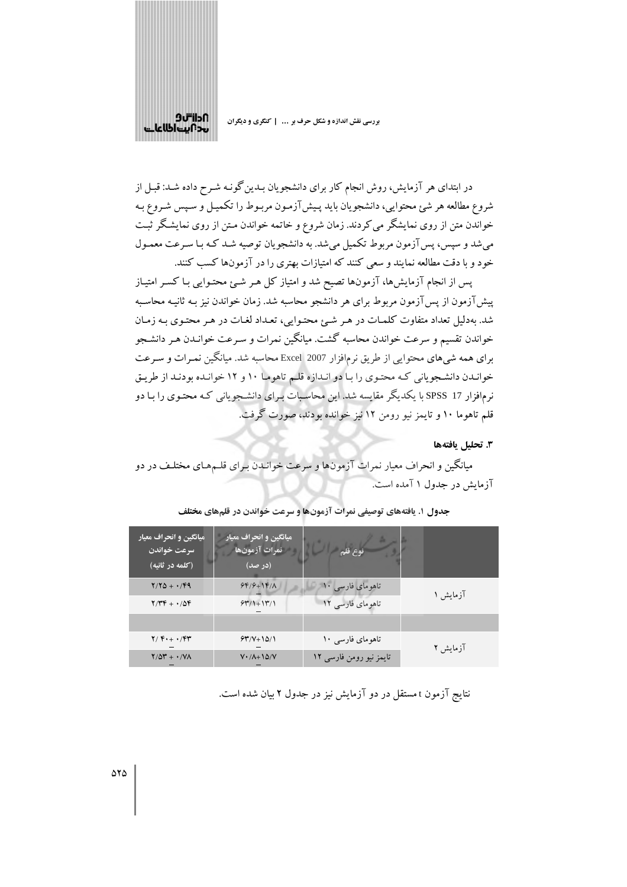

در ابتدای هر آزمایش، روش انجام کار برای دانشجویان بـدین گونـه شـرح داده شـد: قبـل از شروع مطالعه هر شئ محتوایی، دانشجویان باید پـیشJزمون مربـوط را تکمیـل و سـپس شـروع بـه خواندن متن از روی نمایشگر می کردند. زمان شروع و خاتمه خواندن مـتن از روی نمایشگر ثبـت می شد و سپس، پس آزمون مربوط تکمیل می شد. به دانشجویان توصیه شـد کـه بـا سـرعت معمـول خود و با دقت مطالعه نمایند و سعی کنند که امتیازات بهتری را در آزمونها کسب کنند.

پس از انجام آزمایشها، آزمونها تصیح شد و امتیاز کل هـر شـئ محتـوایی بـا کسـر امتیـاز پیشآزمون از پسآزمون مربوط برای هر دانشجو محاسبه شد. زمان خواندن نیز بـه ثانیـه محاسـبه شد. بهدلیل تعداد متفاوت کلمات در هر شئ محتوایی، تعداد لغات در هر محتوی به زمان خواندن تقسیم و سرعت خواندن محاسبه گشت. میانگین نمرات و سـرعت خوانـدن هـر دانشـجو برای همه شیهای محتوایی از طریق نرم|فزار 2007 Excel محاسبه شد. میانگین نمـرات و سـرعت خوانـدن دانشـجویانی کـه محتـوی را بـا دو انـدازه قلـم تاهومـا ١٠ و ١٢ خوانـده بودنـد از طريـق نرمافزار I7 SPSS با یکدیگر مقایسه شد. این محاسبات بـرای دانشـجویانی کـه محتـوی را بـا دو قلم تاهوما ۱۰ و تایمز نیو رومن ۱۲ نیز خوانده بودند، صورت گرفت.

٣. تحليل بافتهها

میانگین و انحراف معیار نمرات آزمونها و سرعت خوانـدن بـرای قلـمهـای مختلـف در دو آزمایش در جدول ۱ آمده است.

| میانگین و انحراف معیار<br>سرعت خواندن<br>(كلمه در ثانيه) | میانگین و انحراف معیار<br>نمرات آزمونها<br>(در صد) | نوع قلم                 |          |
|----------------------------------------------------------|----------------------------------------------------|-------------------------|----------|
| $Y/YQ + YPQ$                                             | $99/9+19/1$                                        | تاهومای فارسی ١٠        |          |
| $Y/YF + \cdot/\Delta F$                                  | $54/1+14/1$                                        | تاهومای فارسی ١٢        | آزمایش ۱ |
|                                                          |                                                    |                         |          |
| $Y/F++$                                                  | $94''/V+10/1$                                      | تاهو مای فارسی ۱۰       | آزمایش ۲ |
| $Y/\Delta Y + \cdot/Y\Lambda$                            | $V \cdot / \Lambda + 10/V$                         | تایمز نیو رومن فارسی ۱۲ |          |

جدول ۱. یافتههای توصیفی نمرات آزمونها و سرعت خواندن در قلمهای مختلف

نتایج آزمون t مستقل در دو آزمایش نیز در جدول ۲ بیان شده است.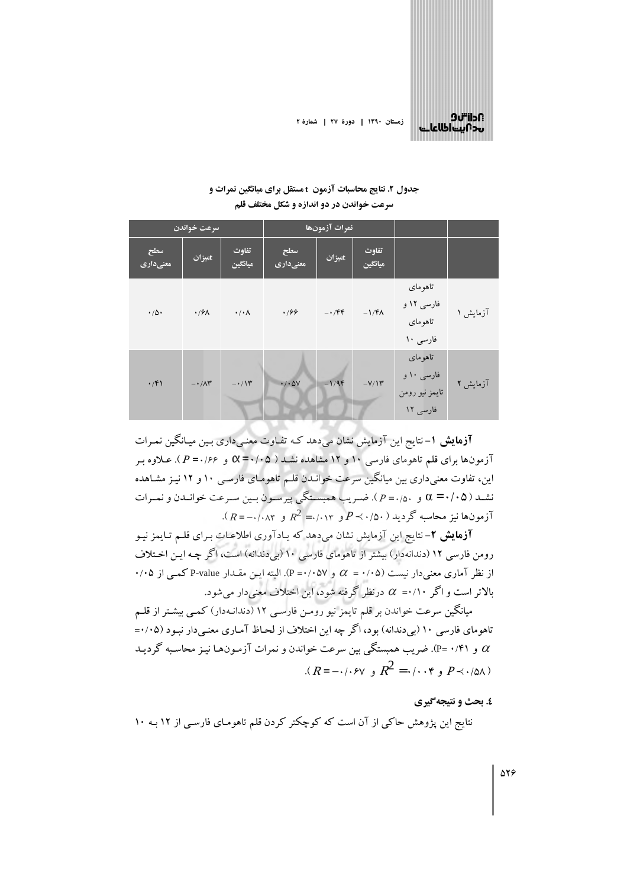

زمستان ۱۳۹۰ | دورهٔ ۲۷ | شمارهٔ ۲

# جدول ۲. نتایج محاسبات آزمون t مستقل برای میانگین نمرات و سرعت خواندن در دو اندازه و شکل مختلف قلم

|                 | نمرات آزمونها<br>سرعت خواندن |                      |                              |         |                  |                                                     |          |
|-----------------|------------------------------|----------------------|------------------------------|---------|------------------|-----------------------------------------------------|----------|
| سطح<br>معنىدارى | tمیزان                       | تفاوت<br>ميانگين     | سطح<br>معنیداری              | tمیزان  | تفاوت<br>ميانگين |                                                     |          |
| $\cdot/\Delta$  | $\cdot$ / $9\lambda$         | $\cdot/\cdot \wedge$ | .199                         | $-1$    | $-1/FA$          | تاهوماي<br>فارسی ۱۲ و<br>تاهوماي<br>فارسی ۱۰        | آزمایش ۱ |
| $\cdot$ /۴۱     | $-1/\Lambda^{\mu}$           | $-\cdot/14$          | $\cdot$ / $\cdot$ $\Delta V$ | $-1/9F$ | $-V/Y$           | تاهوماي<br>فارسی ۱۰ و<br>تايمز نيو رومن<br>فارسی ۱۲ | آزمایش ۲ |

**آزمایش ۱**–نتایج این آزمایش نشان میدهد کـه تفـاوت معنـیداری بـین میـانگـین نمـرات آزمونها برای قلم تاهومای فارسی ۱۰ و ۱۲ مشاهده نشـد ( ۵۰/۰۵ = Q و ۶۶/۰ = P). عـلاوه بـر این، تفاوت معنی داری بین میانگین سرعت خوانـدن قلـم تاهومـای فارسـی ۱۰ و ۱۲ نیـز مشـاهده نشـد ( ۵ ۰/۰ = 0 و ۰٫۵ ـ P ). ضـريب همبسـتگي پيرسـون بـين سـرعت خوانـدن و نمـرات  $R^2$ آزمون۱۵ نیز محاسبه گردید (۵۰/۰٪  $P \prec \cdot / \circ P$ و ۲۰/۰۲٪ و ۲۰/۰۸۳).

**آزمایش ۲**– نتایج این آزمایش نشان میدهد که یـادآوری اطلاعـات بـرای قلـم تـایمز نیـو رومن فارسی ۱۲ (دندانهدار) بیشتر از تاهومای فارسی ۱۰ (بیدندانه) است، اگر چه ایـن اخـتلاف از نظر آماری معنی دار نیست (۰/۰۵ =  $\alpha$  و (۰/۰۵۷). البته ایس مقـدار P-value کمـی از ۰/۰۵ بالاتر است و اگر ۰/۱۰=  $\alpha$  درنظر گرفته شود، این اختلاف معنیدار میشود.

میانگین سرعت خواندن بر قلم تایمز نیو رومـن فارسـی ۱۲ (دندانـهدار) کمـی بیشـتر از قلـم تاهومای فارسی ۱۰ (بیدندانه) بود، اگر چه این اختلاف از لحـاظ آمـاری معنـیدار نبـود (۰/۰۵= و ۰/۴۱ =P). ضریب همبستگی بین سرعت خواندن و نمرات آزمـونهـا نیـز محاسـبه گردیـد  $\alpha$  $R = -1.5y$ ,  $R^2 = 1.6y$ ,  $P \prec (0 \wedge y)$ 

## ٤. تحث و نتيجه گيري

نتایج این پژوهش حاکی از آن است که کوچکتر کردن قلم تاهومـای فارسـی از ۱۲ بـه ۱۰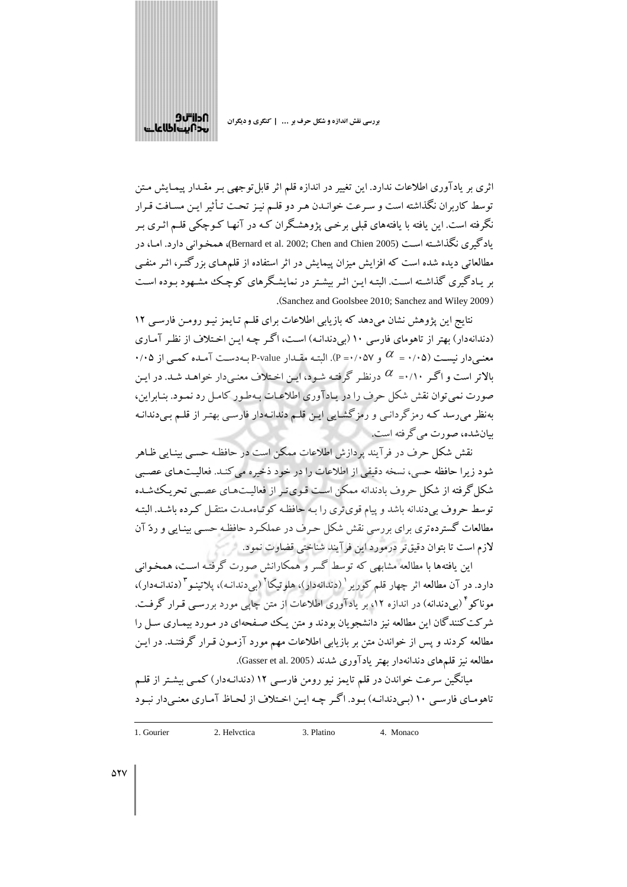

اثری بر یادآوری اطلاعات ندارد. این تغییر در اندازه قلم اثر قابل توجهی بـر مقـدار پیمـایش مـتن توسط كاربران نگذاشته است و سرعت خوانـدن هـر دو قلـم نيـز تحـت تـأثير ايـن مسـافت قـرار نگرفته است. این یافته با یافتههای قبلی برخمی پژوهشگران کـه در آنهـا کـوچکمی قلـم اثـری بـر یادگیری نگذاشته است (Bernard et al. 2002; Chen and Chien 2005)، همخوانی دارد. امـا، در مطالعاتی دیده شده است که افزایش میزان پیمایش در اثر استفاده از قلمهای بزرگتـر، اثـر منفـی بر یـادگیری گذاشـته اسـت. البتـه ایـن اثـر بیشـتر در نمایشـگرهای کوچـک مشـهود بـوده اسـت (Sanchez and Goolsbee 2010; Sanchez and Wiley 2009).

نتایج این پژوهش نشان می دهد که بازیابی اطلاعات برای قلـم تـایمز نیـو رومـن فارسـی ۱۲ (دندانهدار) بهتر از تاهومای فارسی ۱۰ (بی دندانـه) اسـت، اگـر چـه ايـن اخـتلاف از نظـر آمـاری ۰/۰۵ ( نسبت (۰/۰۵ =  $\alpha$  و ۰/۰۵۷). البته مقبدار P-value به دست آمیده کمبی از ۰/۰۵ (۰/۰۰ بالاتر است و اگـر ۰/۱۰=  $\alpha$  درنظـر گرفتـه شـود، ايـن اخـتلاف معنـىدار خواهـد شـد. در ايـن صورت نمی توان نقش شکل حرف را در یـادآوری اطلاعـات بـهطـور کامـل رد نمـود. بنـابراین، بهنظر میرسد کـه رمزگردانـی و رمزگشـایی ایـن قلـم دندانـهدار فارسـی بهتـر از قلـم بـیدندانـه ببان شده، صورت می گرفته است.

نقش شکل حرف در فرآیند پردازش اطلاعات ممکن است در حافظه حسبی بینـایی ظـاهر شود زیرا حافظه حسی، نسخه دقیقی از اطلاعات را در خود ذخیره می کنـد. فعالیـتهـای عصـبی شکل گرفته از شکل حروف بادندانه ممکن است قـویتـر از فعالیـتهـای عصـبی تحریـک شـده توسط حروف بی دندانه باشد و پیام قوی تری را بـه حافظـه کوتـاهمـدت منتقـل کـرده باشـد. البتـه مطالعات گسترده تری برای بررسی نقش شکل حرف در عملکرد حافظه حسبی بینـایی و ردّ آن لازم است تا بتوان دقیق تر درمورد این فرآیند شناختی قضاوت نمود.

این یافتهها با مطالعه مشابهی که توسط گسر و همکارانش صورت گرفتـه اسـت، همخـوانبی دارد. در آن مطالعه اثر چهار قلم کوریر <sup>۱</sup> (دندانهدار)، هلوتیکا<sup>۲</sup> (بی دندانـه)، یلاتینـو <sup>۳</sup> (دندانـهدار)، موناکو<sup>۴</sup> (بیدندانه) در اندازه ۱۲، بر یادآوری اطلاعات از متن چاپی مورد بررسـی قـرار گرفـت. شر کت کنندگان این مطالعه نیز دانشجویان بودند و متن یـک صـفحهای در مـورد بیمـاری سـل را مطالعه کردند و پس از خواندن متن بر بازیابی اطلاعات مهم مورد آزمـون قـرار گرفتنـد. در ایـن مطالعه نیز قلمهای دندانهدار بهتر یادآوری شدند (Gasser et al. 2005).

میانگین سرعت خواندن در قلم تایمز نیو رومن فارسـی ۱۲ (دندانـهدار) کمـی بیشـتر از قلــم تاهومـاي فارسـي ١٠ (بـي دندانـه) بـود. اگـر چـه ايـن اخـتلاف از لحـاظ آمـاري معنـي دار نبـود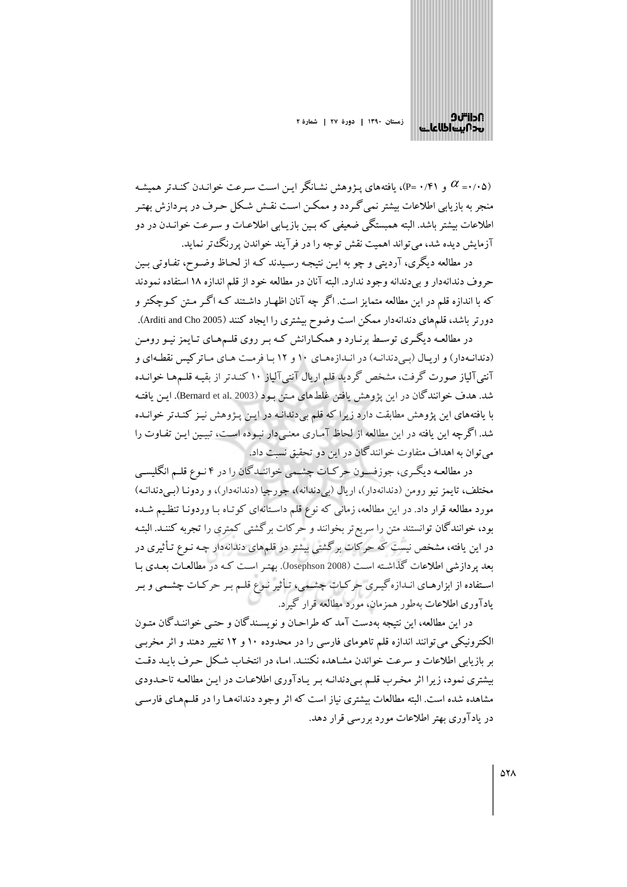

و (۰٫۴۱) و (۰٫۴۱)، یافتههای یـژوهش نشـانگر ایـن اسـت سـرعت خوانـدن کنـدتر همیشـه  $\alpha$ .<br>منجر به بازیابی اطلاعات بیشتر نمی گـردد و ممکــن اسـت نقــش شـکل حـرف در پـردازش بهتـر اطلاعات بیشتر باشد. البته همبستگی ضعیفی که بـین بازیـابی اطلاعـات و سـرعت خوانـدن در دو آزمایش دیده شد، می تواند اهمیت نقش توجه را در فرآیند خواندن پررنگ،تر نماید.

در مطالعه دیگری، آردیتی و چو به ایـن نتیجـه رسـیدند کـه از لحـاظ وضـوح، تفـاوتی بـین حروف دندانهدار و بی دندانه وجود ندارد. البته آنان در مطالعه خود از قلم اندازه ۱۸ استفاده نمودند که با اندازه قلم در این مطالعه متمایز است. اگر چه آنان اظهـار داشـتند کـه اگـر مـتن کـوچکتر و دورتر باشد، قلمهای دندانهدار ممکن است وضوح بیشتری را ایجاد کنند (Arditi and Cho 2005).

در مطالعـه دیگـری توسـط برنـارد و همکـارانش کـه بـر روی قلـمهـای تـایمز نیـو رومـن (دندانهدار) و اریال (به دندانه) در اندازههای ۱۰ و ۱۲ با فرمت های ماترکیس نقطهای و آنتی آلیاز صورت گرفت، مشخص گردید قلم اریال آنتی آلیاز ۱۰ کنـدتر از بقیـه قلـمهـا خوانـده شد. هدف خوانندگان در این پژوهش یافتن غلطهای متن بود (Bernard et al. 2003). ایـن یافتـه با یافتههای این پژوهش مطابقت دارد زیرا که قلم بیدندانـه در ایـن پـژوهش نیـز کنـدتر خوانـده شد. اگر چه این یافته در این مطالعه از لحاظ آماری معنی دار نبوده است، تبیین این تفاوت را مي توان به اهداف متفاوت خوانندگان در اين دو تحقيق نسبت داد.

در مطالعـه دیگـري، جوزفسـون حركـات چشـمي خواننـدگان را در ۴ نـوع قلـم انگليسـي مختلف، تايمز نيو رومن (دندانهدار)، اريال (بي دندانه)، جورجيا (دندانهدار)، و ردونـا (بـي دندانـه) مورد مطالعه قرار داد. در این مطالعه، زمانی که نوع قلم داستانهای کوتـاه بـا وردونـا تنظـیم شـده بود، خوانندگان توانستند متن را سریع تر بخوانند و حرکات برگشتی کمتری را تجربه کننـد. البتـه در این یافته، مشخص نیست که حرکات برگشتی بیشتر در قلمهای دندانهدار چـه نـوع تـأثیری در بعد پردازشی اطلاعات گذاشته است (Josephson 2008). بهتر است کـه در مطالعـات بعـدی بـا استفاده از ابزارهـاي انـدازه گيـري حركـات چشـمي، تـأثير نـوع قلـم بـر حركـات چشـمي و بـر یادآوری اطلاعات بهطور همزمان، مورد مطالعه قرار گیرد.

در این مطالعه، این نتیجه بهدست آمد که طراحان و نویسندگان و حتبی خواننـدگان متـون الکترونیکی می توانند اندازه قلم تاهومای فارسی را در محدوده ۱۰ و ۱۲ تغییر دهند و اثر مخربـی بر بازیابی اطلاعات و سرعت خواندن مشاهده نکننـد. امـا، در انتخـاب شـکل حـرف بایـد دقـت بیشتری نمود، زیرا اثر مخرب قلم بی دندانه بر یادآوری اطلاعات در این مطالعه تاحدودی مشاهده شده است. البته مطالعات بیشتری نیاز است که اثر وجود دندانههـا را در قلـمهـای فارسـی در یادآوری بهتر اطلاعات مورد بررسی قرار دهد.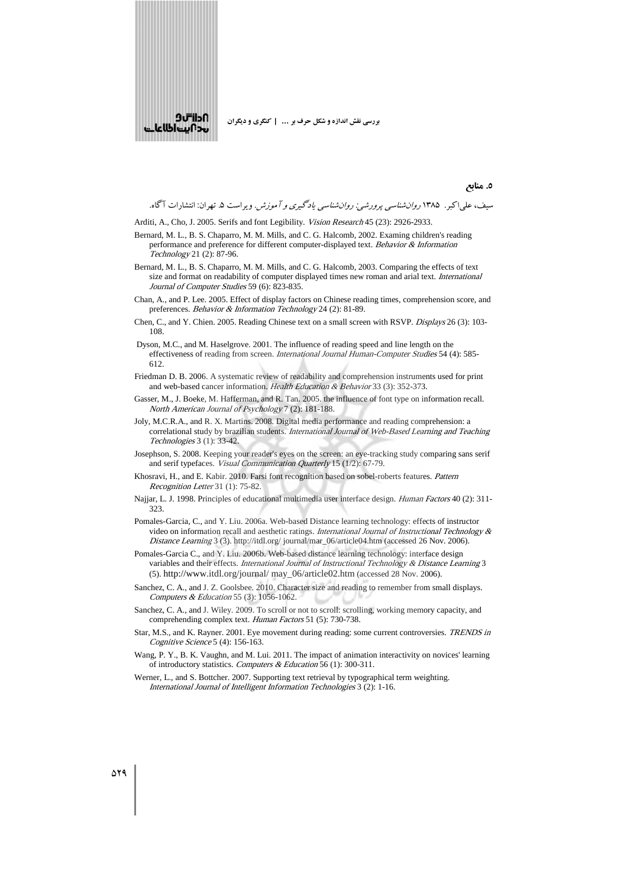

سیف، علی۱کبر. ۱۳۸۵ *روانشناسی پرورشی: روانشناسی یادگیری و آموزش*. ویراست ۵. تهران: انتشارات آگاه.

**y) 5.**

- Arditi, A., Cho, J. 2005. Serifs and font Legibility. Vision Research 45 (23): 2926-2933.
- Bernard, M. L., B. S. Chaparro, M. M. Mills, and C. G. Halcomb, 2002. Examing children's reading performance and preference for different computer-displayed text. Behavior & Information Technology 21 (2): 87-96.
- Bernard, M. L., B. S. Chaparro, M. M. Mills, and C. G. Halcomb, 2003. Comparing the effects of text size and format on readability of computer displayed times new roman and arial text. International Journal of Computer Studies 59 (6): 823-835.
- Chan, A., and P. Lee. 2005. Effect of display factors on Chinese reading times, comprehension score, and preferences. Behavior & Information Technology 24 (2): 81-89.
- Chen, C., and Y. Chien. 2005. Reading Chinese text on a small screen with RSVP. Displays 26 (3): 103- 108.
- Dyson, M.C., and M. Haselgrove. 2001. The influence of reading speed and line length on the effectiveness of reading from screen. International Journal Human-Computer Studies 54 (4): 585- 612.
- Friedman D. B. 2006. A systematic review of readability and comprehension instruments used for print and web-based cancer information. Health Education & Behavior 33 (3): 352-373.
- Gasser, M., J. Boeke, M. Hafferman, and R. Tan. 2005. the influence of font type on information recall. North American Journal of Psychology 7 (2): 181-188.
- Joly, M.C.R.A., and R. X. Martins. 2008. Digital media performance and reading comprehension: a correlational study by brazilian students. International Journal of Web-Based Learning and Teaching Technologies 3 (1): 33-42.
- Josephson, S. 2008. Keeping your reader's eyes on the screen: an eye-tracking study comparing sans serif and serif typefaces. Visual Communication Quarterly 15 (1/2): 67-79.
- Khosravi, H., and E. Kabir. 2010. Farsi font recognition based on sobel-roberts features. Pattern Recognition Letter 31 (1): 75-82.
- Najjar, L. J. 1998. Principles of educational multimedia user interface design. Human Factors 40 (2): 311- 323.
- Pomales-Garcia, C., and Y. Liu. 2006a. Web-based Distance learning technology: effects of instructor video on information recall and aesthetic ratings. International Journal of Instructional Technology & Distance Learning 3 (3). http://itdl.org/ journal/mar\_06/article04.htm (accessed 26 Nov. 2006).
- Pomales-Garcia C., and Y. Liu. 2006b. Web-based distance learning technology: interface design variables and their effects. International Journal of Instructional Technology & Distance Learning 3 (5). http://www.itdl.org/journal/ may\_06/article02.htm (accessed 28 Nov. 2006).
- Sanchez, C. A., and J. Z. Goolsbee. 2010. Character size and reading to remember from small displays. Computers & Education 55 (3): 1056-1062.
- Sanchez, C. A., and J. Wiley. 2009. To scroll or not to scroll: scrolling, working memory capacity, and comprehending complex text. Human Factors 51 (5): 730-738.
- Star, M.S., and K. Rayner. 2001. Eye movement during reading: some current controversies. TRENDS in Cognitive Science 5 (4): 156-163.
- Wang, P. Y., B. K. Vaughn, and M. Lui. 2011. The impact of animation interactivity on novices' learning of introductory statistics. Computers & Education 56 (1): 300-311.
- Werner, L., and S. Bottcher, 2007. Supporting text retrieval by typographical term weighting. International Journal of Intelligent Information Technologies 3 (2): 1-16.